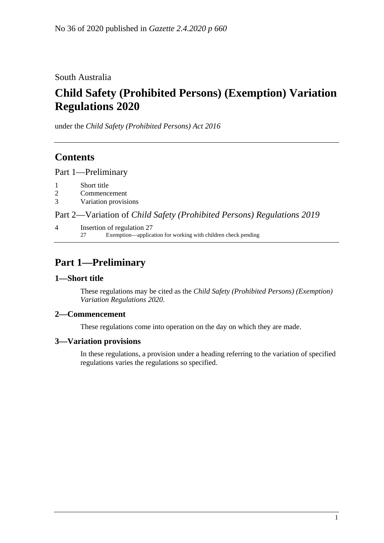South Australia

# **Child Safety (Prohibited Persons) (Exemption) Variation Regulations 2020**

under the *Child Safety (Prohibited Persons) Act 2016*

### **Contents**

Part [1—Preliminary](#page-0-0)

- 1 [Short title](#page-0-1)
- 2 [Commencement](#page-0-2)
- 3 [Variation provisions](#page-0-3)

Part 2—Variation of *[Child Safety \(Prohibited Persons\) Regulations](#page-1-0) 2019*

4 [Insertion of regulation 27](#page-1-1) 27 Exemption—application for working with children check pending

## <span id="page-0-0"></span>**Part 1—Preliminary**

### <span id="page-0-1"></span>**1—Short title**

These regulations may be cited as the *Child Safety (Prohibited Persons) (Exemption) Variation Regulations 2020*.

### <span id="page-0-2"></span>**2—Commencement**

These regulations come into operation on the day on which they are made.

### <span id="page-0-3"></span>**3—Variation provisions**

In these regulations, a provision under a heading referring to the variation of specified regulations varies the regulations so specified.